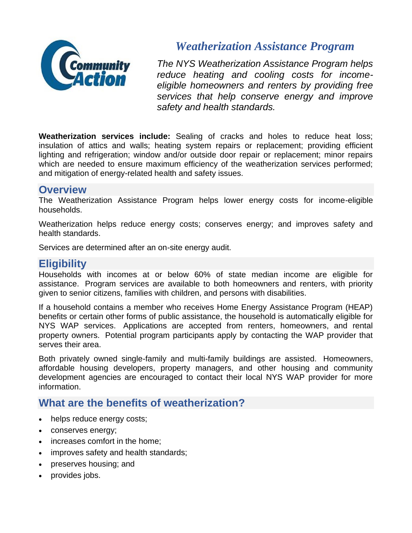

# *Weatherization Assistance Program*

*The NYS Weatherization Assistance Program helps reduce heating and cooling costs for incomeeligible homeowners and renters by providing free services that help conserve energy and improve safety and health standards.*

**Weatherization services include:** Sealing of cracks and holes to reduce heat loss; insulation of attics and walls; heating system repairs or replacement; providing efficient lighting and refrigeration; window and/or outside door repair or replacement; minor repairs which are needed to ensure maximum efficiency of the weatherization services performed; and mitigation of energy-related health and safety issues.

# **Overview**

The Weatherization Assistance Program helps lower energy costs for income-eligible households.

Weatherization helps reduce energy costs; conserves energy; and improves safety and health standards.

Services are determined after an on-site energy audit.

# **Eligibility**

Households with incomes at or below 60% of state median income are eligible for assistance. Program services are available to both homeowners and renters, with priority given to senior citizens, families with children, and persons with disabilities.

If a household contains a member who receives Home Energy Assistance Program (HEAP) benefits or certain other forms of public assistance, the household is automatically eligible for NYS WAP services. Applications are accepted from renters, homeowners, and rental property owners. Potential program participants apply by contacting the WAP provider that serves their area.

Both privately owned single-family and multi-family buildings are assisted. Homeowners, affordable housing developers, property managers, and other housing and community development agencies are encouraged to contact their local NYS WAP provider for more information.

# **What are the benefits of weatherization?**

- helps reduce energy costs;
- conserves energy;
- increases comfort in the home;
- improves safety and health standards;
- preserves housing; and
- provides jobs.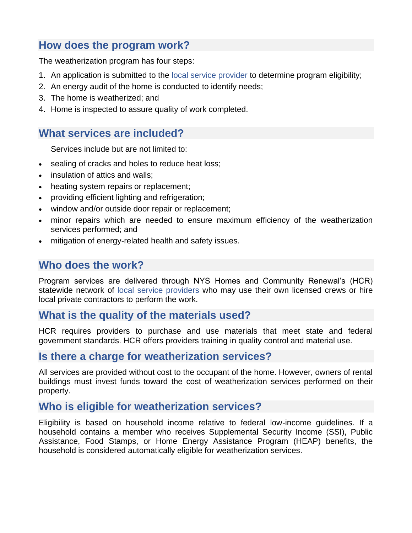# **How does the program work?**

The weatherization program has four steps:

- 1. An application is submitted to the [local service provider](https://hcr.ny.gov/find-weatherization-provider) to determine program eligibility;
- 2. An energy audit of the home is conducted to identify needs;
- 3. The home is weatherized; and
- 4. Home is inspected to assure quality of work completed.

# **What services are included?**

Services include but are not limited to:

- sealing of cracks and holes to reduce heat loss;
- insulation of attics and walls:
- heating system repairs or replacement;
- providing efficient lighting and refrigeration;
- window and/or outside door repair or replacement;
- minor repairs which are needed to ensure maximum efficiency of the weatherization services performed; and
- mitigation of energy-related health and safety issues.

# **Who does the work?**

Program services are delivered through NYS Homes and Community Renewal's (HCR) statewide network of [local service providers](https://hcr.ny.gov/find-weatherization-provider) who may use their own licensed crews or hire local private contractors to perform the work.

# **What is the quality of the materials used?**

HCR requires providers to purchase and use materials that meet state and federal government standards. HCR offers providers training in quality control and material use.

#### **Is there a charge for weatherization services?**

All services are provided without cost to the occupant of the home. However, owners of rental buildings must invest funds toward the cost of weatherization services performed on their property.

#### **Who is eligible for weatherization services?**

Eligibility is based on household income relative to federal low-income guidelines. If a household contains a member who receives Supplemental Security Income (SSI), Public Assistance, Food Stamps, or Home Energy Assistance Program (HEAP) benefits, the household is considered automatically eligible for weatherization services.